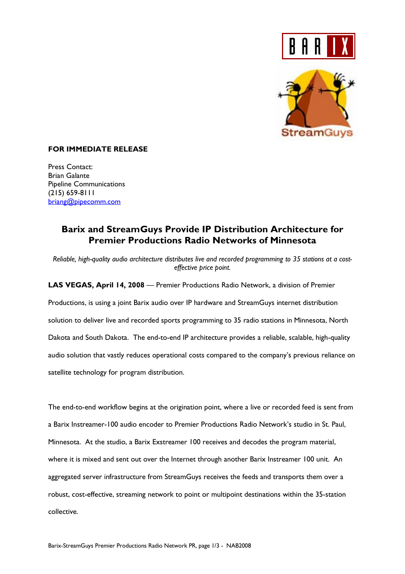



## **FOR IMMEDIATE RELEASE**

Press Contact: Brian Galante Pipeline Communications (215) 659-8111 briang@pipecomm.com

# **Barix and StreamGuys Provide IP Distribution Architecture for Premier Productions Radio Networks of Minnesota**

*Reliable, high-quality audio architecture distributes live and recorded programming to 35 stations at a costeffective price point.*

**LAS VEGAS, April 14, 2008** — Premier Productions Radio Network, a division of Premier Productions, is using a joint Barix audio over IP hardware and StreamGuys internet distribution solution to deliver live and recorded sports programming to 35 radio stations in Minnesota, North Dakota and South Dakota. The end-to-end IP architecture provides a reliable, scalable, high-quality audio solution that vastly reduces operational costs compared to the company's previous reliance on satellite technology for program distribution.

The end-to-end workflow begins at the origination point, where a live or recorded feed is sent from a Barix Instreamer-100 audio encoder to Premier Productions Radio Network's studio in St. Paul, Minnesota. At the studio, a Barix Exstreamer 100 receives and decodes the program material, where it is mixed and sent out over the Internet through another Barix Instreamer 100 unit. An aggregated server infrastructure from StreamGuys receives the feeds and transports them over a robust, cost-effective, streaming network to point or multipoint destinations within the 35-station collective.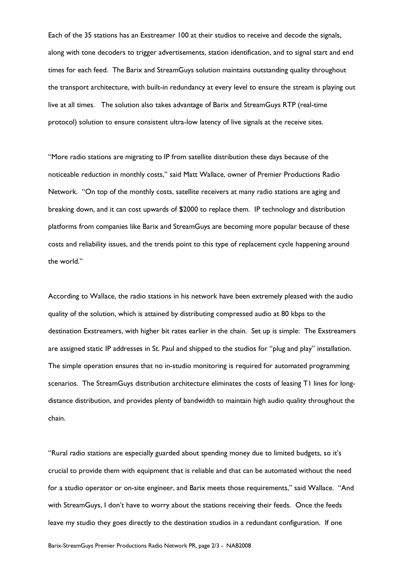Each of the 35 stations has an Exstreamer 100 at their studios to receive and decode the signals, along with tone decoders to trigger advertisements, station identification, and to signal start and end times for each feed. The Barix and StreamGuys solution maintains outstanding quality throughout the transport architecture, with built-in redundancy at every level to ensure the stream is playing out live at all times. The solution also takes advantage of Barix and StreamGuys RTP (real-time protocol) solution to ensure consistent ultra-low latency of live signals at the receive sites.

"More radio stations are migrating to IP from satellite distribution these days because of the noticeable reduction in monthly costs," said Matt Wallace, owner of Premier Productions Radio Network. "On top of the monthly costs, satellite receivers at many radio stations are aging and breaking down, and it can cost upwards of \$2000 to replace them. IP technology and distribution platforms from companies like Barix and StreamGuys are becoming more popular because of these costs and reliability issues, and the trends point to this type of replacement cycle happening around the world."

According to Wallace, the radio stations in his network have been extremely pleased with the audio quality of the solution, which is attained by distributing compressed audio at 80 kbps to the destination Exstreamers, with higher bit rates earlier in the chain. Set up is simple: The Exstreamers are assigned static IP addresses in St. Paul and shipped to the studios for "plug and play" installation. The simple operation ensures that no in-studio monitoring is required for automated programming scenarios. The StreamGuys distribution architecture eliminates the costs of leasing T1 lines for longdistance distribution, and provides plenty of bandwidth to maintain high audio quality throughout the chain.

"Rural radio stations are especially guarded about spending money due to limited budgets, so it's crucial to provide them with equipment that is reliable and that can be automated without the need for a studio operator or on-site engineer, and Barix meets those requirements," said Wallace. "And with StreamGuys, I don't have to worry about the stations receiving their feeds. Once the feeds leave my studio they goes directly to the destination studios in a redundant configuration. If one